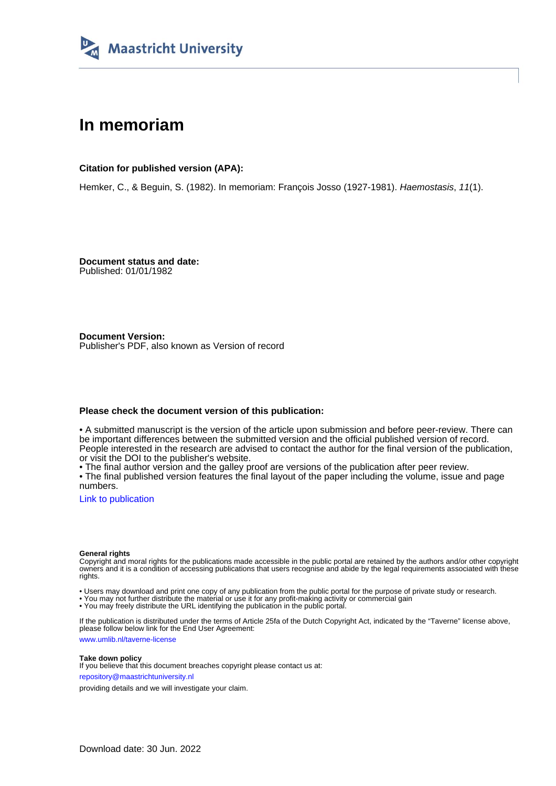

# **In memoriam**

**Citation for published version (APA):**

Hemker, C., & Beguin, S. (1982). In memoriam: François Josso (1927-1981). Haemostasis, 11(1).

**Document status and date:** Published: 01/01/1982

**Document Version:** Publisher's PDF, also known as Version of record

#### **Please check the document version of this publication:**

• A submitted manuscript is the version of the article upon submission and before peer-review. There can be important differences between the submitted version and the official published version of record. People interested in the research are advised to contact the author for the final version of the publication, or visit the DOI to the publisher's website.

• The final author version and the galley proof are versions of the publication after peer review.

• The final published version features the final layout of the paper including the volume, issue and page numbers.

[Link to publication](https://cris.maastrichtuniversity.nl/en/publications/768ea43b-a41e-4adf-9cf5-cc6a5e649e86)

#### **General rights**

Copyright and moral rights for the publications made accessible in the public portal are retained by the authors and/or other copyright owners and it is a condition of accessing publications that users recognise and abide by the legal requirements associated with these rights.

• Users may download and print one copy of any publication from the public portal for the purpose of private study or research.

• You may not further distribute the material or use it for any profit-making activity or commercial gain

• You may freely distribute the URL identifying the publication in the public portal.

If the publication is distributed under the terms of Article 25fa of the Dutch Copyright Act, indicated by the "Taverne" license above, please follow below link for the End User Agreement:

www.umlib.nl/taverne-license

### **Take down policy**

If you believe that this document breaches copyright please contact us at: repository@maastrichtuniversity.nl

providing details and we will investigate your claim.